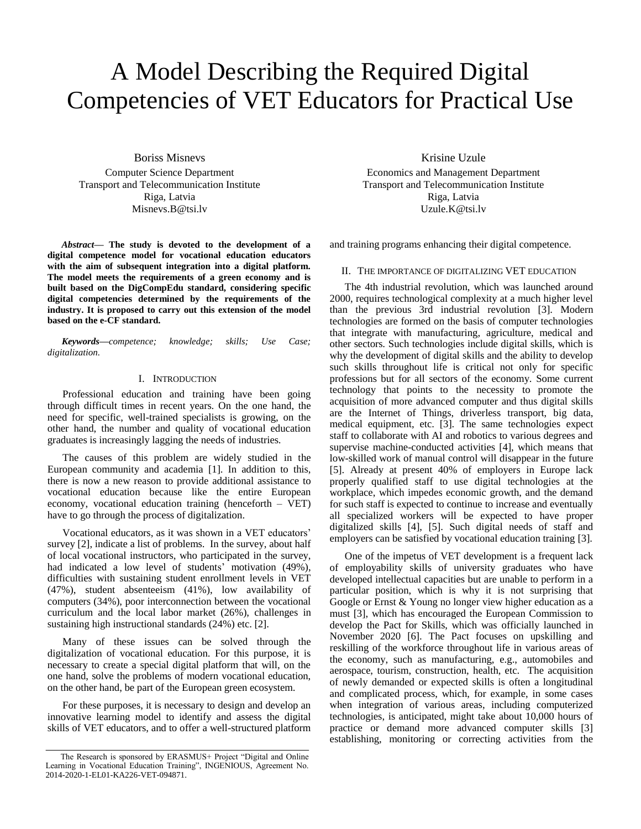# A Model Describing the Required Digital Competencies of VET Educators for Practical Use

Boriss Misnevs Computer Science Department Transport and Telecommunication Institute Riga, Latvia Misnevs.B@tsi.lv

*Abstract***— The study is devoted to the development of a digital competence model for vocational education educators with the aim of subsequent integration into a digital platform. The model meets the requirements of a green economy and is built based on the DigCompEdu standard, considering specific digital competencies determined by the requirements of the industry. It is proposed to carry out this extension of the model based on the e-CF standard.**

*Keywords—competence; knowledge; skills; Use Case; digitalization.*

## I. INTRODUCTION

Professional education and training have been going through difficult times in recent years. On the one hand, the need for specific, well-trained specialists is growing, on the other hand, the number and quality of vocational education graduates is increasingly lagging the needs of industries.

The causes of this problem are widely studied in the European community and academia [1]. In addition to this, there is now a new reason to provide additional assistance to vocational education because like the entire European economy, vocational education training (henceforth – VET) have to go through the process of digitalization.

Vocational educators, as it was shown in a VET educators' survey [2], indicate a list of problems. In the survey, about half of local vocational instructors, who participated in the survey, had indicated a low level of students' motivation (49%), difficulties with sustaining student enrollment levels in VET (47%), student absenteeism (41%), low availability of computers (34%), poor interconnection between the vocational curriculum and the local labor market (26%), challenges in sustaining high instructional standards (24%) etc. [2].

Many of these issues can be solved through the digitalization of vocational education. For this purpose, it is necessary to create a special digital platform that will, on the one hand, solve the problems of modern vocational education, on the other hand, be part of the European green ecosystem.

For these purposes, it is necessary to design and develop an innovative learning model to identify and assess the digital skills of VET educators, and to offer a well-structured platform

Krisine Uzule Economics and Management Department Transport and Telecommunication Institute Riga, Latvia Uzule.K@tsi.lv

and training programs enhancing their digital competence.

#### II. THE IMPORTANCE OF DIGITALIZING VET EDUCATION

The 4th industrial revolution, which was launched around 2000, requires technological complexity at a much higher level than the previous 3rd industrial revolution [3]. Modern technologies are formed on the basis of computer technologies that integrate with manufacturing, agriculture, medical and other sectors. Such technologies include digital skills, which is why the development of digital skills and the ability to develop such skills throughout life is critical not only for specific professions but for all sectors of the economy. Some current technology that points to the necessity to promote the acquisition of more advanced computer and thus digital skills are the Internet of Things, driverless transport, big data, medical equipment, etc. [3]. The same technologies expect staff to collaborate with AI and robotics to various degrees and supervise machine-conducted activities [4], which means that low-skilled work of manual control will disappear in the future [5]. Already at present 40% of employers in Europe lack properly qualified staff to use digital technologies at the workplace, which impedes economic growth, and the demand for such staff is expected to continue to increase and eventually all specialized workers will be expected to have proper digitalized skills [4], [5]. Such digital needs of staff and employers can be satisfied by vocational education training [3].

One of the impetus of VET development is a frequent lack of employability skills of university graduates who have developed intellectual capacities but are unable to perform in a particular position, which is why it is not surprising that Google or Ernst & Young no longer view higher education as a must [3], which has encouraged the European Commission to develop the Pact for Skills, which was officially launched in November 2020 [6]. The Pact focuses on upskilling and reskilling of the workforce throughout life in various areas of the economy, such as manufacturing, e.g., automobiles and aerospace, tourism, construction, health, etc. The acquisition of newly demanded or expected skills is often a longitudinal and complicated process, which, for example, in some cases when integration of various areas, including computerized technologies, is anticipated, might take about 10,000 hours of practice or demand more advanced computer skills [3] establishing, monitoring or correcting activities from the

The Research is sponsored by ERASMUS+ Project "Digital and Online Learning in Vocational Education Training", INGENIOUS, Agreement No. 2014-2020-1-EL01-KA226-VET-094871.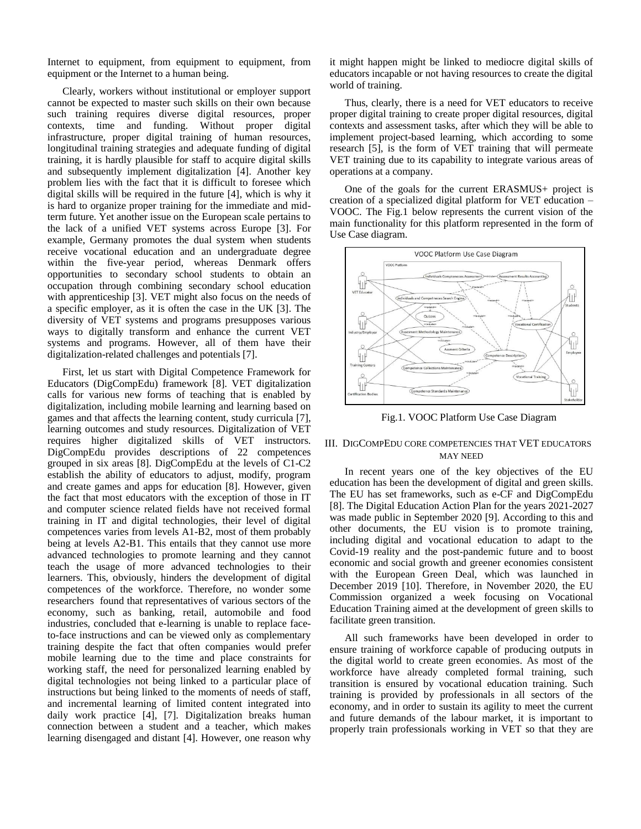Internet to equipment, from equipment to equipment, from equipment or the Internet to a human being.

Clearly, workers without institutional or employer support cannot be expected to master such skills on their own because such training requires diverse digital resources, proper contexts, time and funding. Without proper digital infrastructure, proper digital training of human resources, longitudinal training strategies and adequate funding of digital training, it is hardly plausible for staff to acquire digital skills and subsequently implement digitalization [4]. Another key problem lies with the fact that it is difficult to foresee which digital skills will be required in the future [4], which is why it is hard to organize proper training for the immediate and midterm future. Yet another issue on the European scale pertains to the lack of a unified VET systems across Europe [3]. For example, Germany promotes the dual system when students receive vocational education and an undergraduate degree within the five-year period, whereas Denmark offers opportunities to secondary school students to obtain an occupation through combining secondary school education with apprenticeship [3]. VET might also focus on the needs of a specific employer, as it is often the case in the UK [3]. The diversity of VET systems and programs presupposes various ways to digitally transform and enhance the current VET systems and programs. However, all of them have their digitalization-related challenges and potentials [7].

First, let us start with Digital Competence Framework for Educators (DigCompEdu) framework [8]. VET digitalization calls for various new forms of teaching that is enabled by digitalization, including mobile learning and learning based on games and that affects the learning content, study curricula [7], learning outcomes and study resources. Digitalization of VET requires higher digitalized skills of VET instructors. DigCompEdu provides descriptions of 22 competences grouped in six areas [8]. DigCompEdu at the levels of C1-C2 establish the ability of educators to adjust, modify, program and create games and apps for education [8]. However, given the fact that most educators with the exception of those in IT and computer science related fields have not received formal training in IT and digital technologies, their level of digital competences varies from levels A1-B2, most of them probably being at levels A2-B1. This entails that they cannot use more advanced technologies to promote learning and they cannot teach the usage of more advanced technologies to their learners. This, obviously, hinders the development of digital competences of the workforce. Therefore, no wonder some researchers found that representatives of various sectors of the economy, such as banking, retail, automobile and food industries, concluded that e-learning is unable to replace faceto-face instructions and can be viewed only as complementary training despite the fact that often companies would prefer mobile learning due to the time and place constraints for working staff, the need for personalized learning enabled by digital technologies not being linked to a particular place of instructions but being linked to the moments of needs of staff, and incremental learning of limited content integrated into daily work practice [4], [7]. Digitalization breaks human connection between a student and a teacher, which makes learning disengaged and distant [4]. However, one reason why

it might happen might be linked to mediocre digital skills of educators incapable or not having resources to create the digital world of training.

Thus, clearly, there is a need for VET educators to receive proper digital training to create proper digital resources, digital contexts and assessment tasks, after which they will be able to implement project-based learning, which according to some research [5], is the form of VET training that will permeate VET training due to its capability to integrate various areas of operations at a company.

One of the goals for the current ERASMUS+ project is creation of a specialized digital platform for VET education – VOOC. The Fig.1 below represents the current vision of the main functionality for this platform represented in the form of Use Case diagram.



Fig.1. VOOC Platform Use Case Diagram

## III. DIGCOMPEDU CORE COMPETENCIES THAT VET EDUCATORS MAY NEED

In recent years one of the key objectives of the EU education has been the development of digital and green skills. The EU has set frameworks, such as e-CF and DigCompEdu [8]. The Digital Education Action Plan for the years 2021-2027 was made public in September 2020 [9]. According to this and other documents, the EU vision is to promote training, including digital and vocational education to adapt to the Covid-19 reality and the post-pandemic future and to boost economic and social growth and greener economies consistent with the European Green Deal, which was launched in December 2019 [10]. Therefore, in November 2020, the EU Commission organized a week focusing on Vocational Education Training aimed at the development of green skills to facilitate green transition.

All such frameworks have been developed in order to ensure training of workforce capable of producing outputs in the digital world to create green economies. As most of the workforce have already completed formal training, such transition is ensured by vocational education training. Such training is provided by professionals in all sectors of the economy, and in order to sustain its agility to meet the current and future demands of the labour market, it is important to properly train professionals working in VET so that they are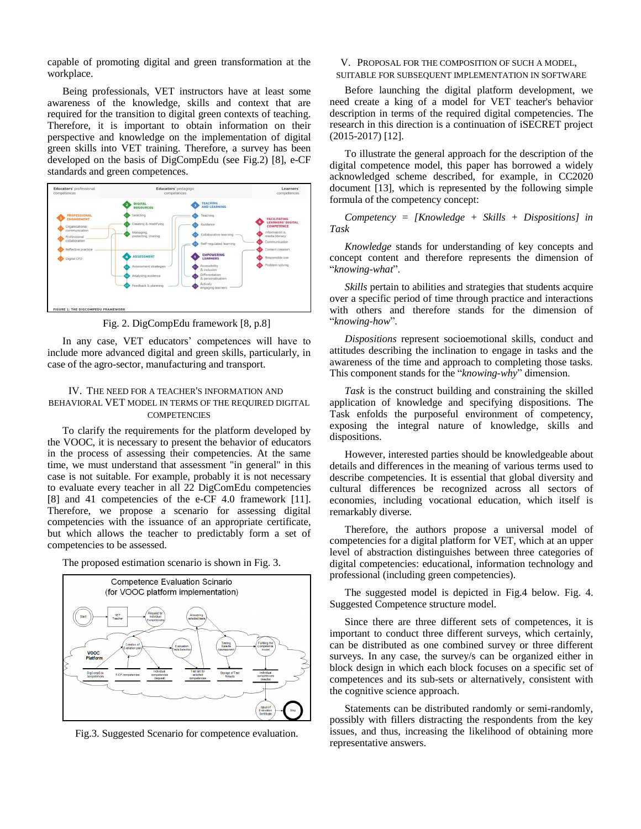capable of promoting digital and green transformation at the workplace.

Being professionals, VET instructors have at least some awareness of the knowledge, skills and context that are required for the transition to digital green contexts of teaching. Therefore, it is important to obtain information on their perspective and knowledge on the implementation of digital green skills into VET training. Therefore, a survey has been developed on the basis of DigCompEdu (see Fig.2) [8], e-CF standards and green competences.



Fig. 2. DigCompEdu framework [8, p.8]

In any case, VET educators' competences will have to include more advanced digital and green skills, particularly, in case of the agro-sector, manufacturing and transport.

## IV. THE NEED FOR A TEACHER'S INFORMATION AND BEHAVIORAL VET MODEL IN TERMS OF THE REQUIRED DIGITAL **COMPETENCIES**

To clarify the requirements for the platform developed by the VOOC, it is necessary to present the behavior of educators in the process of assessing their competencies. At the same time, we must understand that assessment "in general" in this case is not suitable. For example, probably it is not necessary to evaluate every teacher in all 22 DigComEdu competencies [8] and 41 competencies of the e-CF 4.0 framework [11]. Therefore, we propose a scenario for assessing digital competencies with the issuance of an appropriate certificate, but which allows the teacher to predictably form a set of competencies to be assessed.

The proposed estimation scenario is shown in Fig. 3.



Fig.3. Suggested Scenario for competence evaluation.

V. PROPOSAL FOR THE COMPOSITION OF SUCH A MODEL, SUITABLE FOR SUBSEQUENT IMPLEMENTATION IN SOFTWARE

Before launching the digital platform development, we need create a king of a model for VET teacher's behavior description in terms of the required digital competencies. The research in this direction is a continuation of iSECRET project (2015-2017) [12].

To illustrate the general approach for the description of the digital competence model, this paper has borrowed a widely acknowledged scheme described, for example, in CC2020 document [13], which is represented by the following simple formula of the competency concept:

*Competency = [Knowledge + Skills + Dispositions] in Task*

*Knowledge* stands for understanding of key concepts and concept content and therefore represents the dimension of "*knowing-what*".

*Skills* pertain to abilities and strategies that students acquire over a specific period of time through practice and interactions with others and therefore stands for the dimension of "*knowing-how*".

*Dispositions* represent socioemotional skills, conduct and attitudes describing the inclination to engage in tasks and the awareness of the time and approach to completing those tasks. This component stands for the "*knowing-why*" dimension.

*Task* is the construct building and constraining the skilled application of knowledge and specifying dispositions. The Task enfolds the purposeful environment of competency, exposing the integral nature of knowledge, skills and dispositions.

However, interested parties should be knowledgeable about details and differences in the meaning of various terms used to describe competencies. It is essential that global diversity and cultural differences be recognized across all sectors of economies, including vocational education, which itself is remarkably diverse.

Therefore, the authors propose a universal model of competencies for a digital platform for VET, which at an upper level of abstraction distinguishes between three categories of digital competencies: educational, information technology and professional (including green competencies).

The suggested model is depicted in Fig.4 below. Fig. 4. Suggested Competence structure model.

Since there are three different sets of competences, it is important to conduct three different surveys, which certainly, can be distributed as one combined survey or three different surveys. In any case, the survey/s can be organized either in block design in which each block focuses on a specific set of competences and its sub-sets or alternatively, consistent with the cognitive science approach.

Statements can be distributed randomly or semi-randomly, possibly with fillers distracting the respondents from the key issues, and thus, increasing the likelihood of obtaining more representative answers.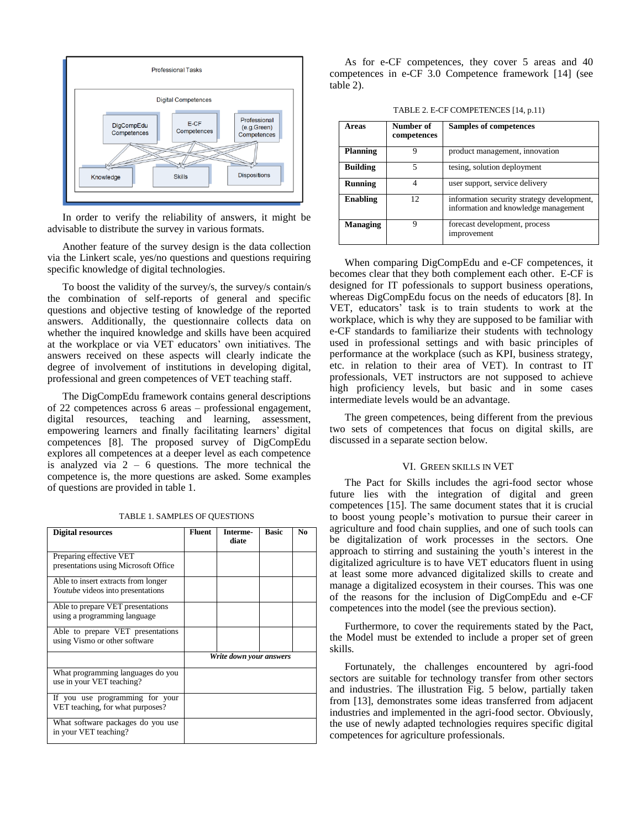

In order to verify the reliability of answers, it might be advisable to distribute the survey in various formats.

Another feature of the survey design is the data collection via the Linkert scale, yes/no questions and questions requiring specific knowledge of digital technologies.

To boost the validity of the survey/s, the survey/s contain/s the combination of self-reports of general and specific questions and objective testing of knowledge of the reported answers. Additionally, the questionnaire collects data on whether the inquired knowledge and skills have been acquired at the workplace or via VET educators' own initiatives. The answers received on these aspects will clearly indicate the degree of involvement of institutions in developing digital, professional and green competences of VET teaching staff.

The DigCompEdu framework contains general descriptions of 22 competences across 6 areas – professional engagement, digital resources, teaching and learning, assessment, empowering learners and finally facilitating learners' digital competences [8]. The proposed survey of DigCompEdu explores all competences at a deeper level as each competence is analyzed via  $2 - 6$  questions. The more technical the competence is, the more questions are asked. Some examples of questions are provided in table 1.

| <b>Digital resources</b>                                                        | <b>Fluent</b>           | Interme-<br>diate | <b>Basic</b> | N <sub>0</sub> |
|---------------------------------------------------------------------------------|-------------------------|-------------------|--------------|----------------|
| Preparing effective VET<br>presentations using Microsoft Office                 |                         |                   |              |                |
| Able to insert extracts from longer<br><i>Youtube</i> videos into presentations |                         |                   |              |                |
| Able to prepare VET presentations<br>using a programming language               |                         |                   |              |                |
| Able to prepare VET presentations<br>using Vismo or other software              |                         |                   |              |                |
|                                                                                 | Write down your answers |                   |              |                |
| What programming languages do you<br>use in your VET teaching?                  |                         |                   |              |                |
| If you use programming for your<br>VET teaching, for what purposes?             |                         |                   |              |                |
| What software packages do you use<br>in your VET teaching?                      |                         |                   |              |                |

TABLE 1. SAMPLES OF QUESTIONS

As for e-CF competences, they cover 5 areas and 40 competences in e-CF 3.0 Competence framework [14] (see table 2).

TABLE 2. E-CF COMPETENCES [14, p.11)

| Areas           | Number of<br>competences | Samples of competences                                                             |
|-----------------|--------------------------|------------------------------------------------------------------------------------|
| <b>Planning</b> | Q                        | product management, innovation                                                     |
| <b>Building</b> | 5                        | tesing, solution deployment                                                        |
| Running         |                          | user support, service delivery                                                     |
| Enabling        | 12                       | information security strategy development,<br>information and knowledge management |
| <b>Managing</b> | Q                        | forecast development, process<br>improvement                                       |

When comparing DigCompEdu and e-CF competences, it becomes clear that they both complement each other. E-CF is designed for IT pofessionals to support business operations, whereas DigCompEdu focus on the needs of educators [8]. In VET, educators' task is to train students to work at the workplace, which is why they are supposed to be familiar with e-CF standards to familiarize their students with technology used in professional settings and with basic principles of performance at the workplace (such as KPI, business strategy, etc. in relation to their area of VET). In contrast to IT professionals, VET instructors are not supposed to achieve high proficiency levels, but basic and in some cases intermediate levels would be an advantage.

The green competences, being different from the previous two sets of competences that focus on digital skills, are discussed in a separate section below.

#### VI. GREEN SKILLS IN VET

The Pact for Skills includes the agri-food sector whose future lies with the integration of digital and green competences [15]. The same document states that it is crucial to boost young people's motivation to pursue their career in agriculture and food chain supplies, and one of such tools can be digitalization of work processes in the sectors. One approach to stirring and sustaining the youth's interest in the digitalized agriculture is to have VET educators fluent in using at least some more advanced digitalized skills to create and manage a digitalized ecosystem in their courses. This was one of the reasons for the inclusion of DigCompEdu and e-CF competences into the model (see the previous section).

Furthermore, to cover the requirements stated by the Pact, the Model must be extended to include a proper set of green skills.

Fortunately, the challenges encountered by agri-food sectors are suitable for technology transfer from other sectors and industries. The illustration Fig. 5 below, partially taken from [13], demonstrates some ideas transferred from adjacent industries and implemented in the agri-food sector. Obviously, the use of newly adapted technologies requires specific digital competences for agriculture professionals.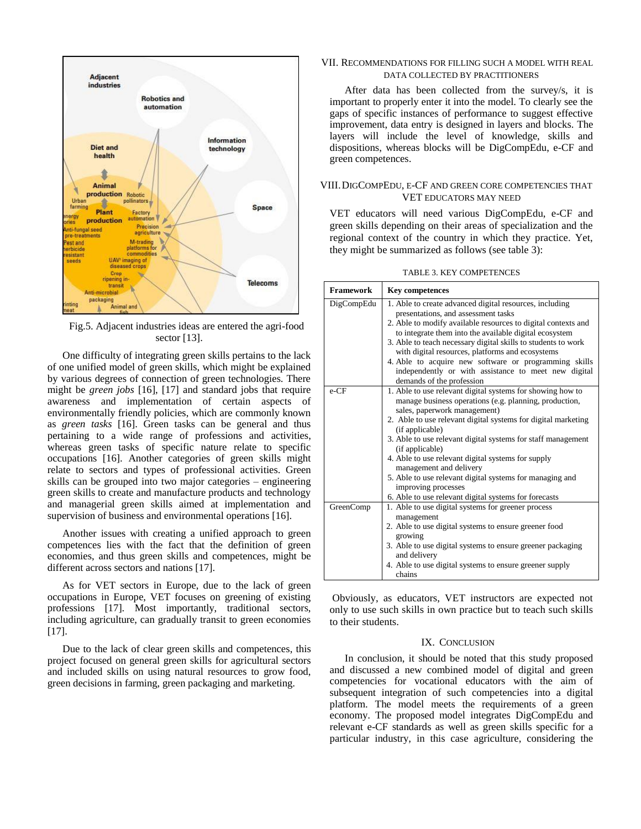

Fig.5. Adjacent industries ideas are entered the agri-food sector [13].

One difficulty of integrating green skills pertains to the lack of one unified model of green skills, which might be explained by various degrees of connection of green technologies. There might be *green jobs* [16], [17] and standard jobs that require awareness and implementation of certain aspects of environmentally friendly policies, which are commonly known as *green tasks* [16]. Green tasks can be general and thus pertaining to a wide range of professions and activities, whereas green tasks of specific nature relate to specific occupations [16]. Another categories of green skills might relate to sectors and types of professional activities. Green skills can be grouped into two major categories – engineering green skills to create and manufacture products and technology and managerial green skills aimed at implementation and supervision of business and environmental operations [16].

Another issues with creating a unified approach to green competences lies with the fact that the definition of green economies, and thus green skills and competences, might be different across sectors and nations [17].

As for VET sectors in Europe, due to the lack of green occupations in Europe, VET focuses on greening of existing professions [17]. Most importantly, traditional sectors, including agriculture, can gradually transit to green economies [17].

Due to the lack of clear green skills and competences, this project focused on general green skills for agricultural sectors and included skills on using natural resources to grow food, green decisions in farming, green packaging and marketing.

## VII. RECOMMENDATIONS FOR FILLING SUCH A MODEL WITH REAL DATA COLLECTED BY PRACTITIONERS

After data has been collected from the survey/s, it is important to properly enter it into the model. To clearly see the gaps of specific instances of performance to suggest effective improvement, data entry is designed in layers and blocks. The layers will include the level of knowledge, skills and dispositions, whereas blocks will be DigCompEdu, e-CF and green competences.

# VIII.DIGCOMPEDU, E-CF AND GREEN CORE COMPETENCIES THAT VET EDUCATORS MAY NEED

VET educators will need various DigCompEdu, e-CF and green skills depending on their areas of specialization and the regional context of the country in which they practice. Yet, they might be summarized as follows (see table 3):

|  |  | <b>TABLE 3. KEY COMPETENCES</b> |  |
|--|--|---------------------------------|--|
|--|--|---------------------------------|--|

| <b>Framework</b> | <b>Key competences</b>                                                                                                                                                                                                                                                                                                                                                                                                                                                                                                                                   |
|------------------|----------------------------------------------------------------------------------------------------------------------------------------------------------------------------------------------------------------------------------------------------------------------------------------------------------------------------------------------------------------------------------------------------------------------------------------------------------------------------------------------------------------------------------------------------------|
| DigCompEdu       | 1. Able to create advanced digital resources, including<br>presentations, and assessment tasks<br>2. Able to modify available resources to digital contexts and<br>to integrate them into the available digital ecosystem<br>3. Able to teach necessary digital skills to students to work<br>with digital resources, platforms and ecosystems<br>4. Able to acquire new software or programming skills<br>independently or with assistance to meet new digital<br>demands of the profession                                                             |
| $e$ -CF          | 1. Able to use relevant digital systems for showing how to<br>manage business operations (e.g. planning, production,<br>sales, paperwork management)<br>2. Able to use relevant digital systems for digital marketing<br>(if applicable)<br>3. Able to use relevant digital systems for staff management<br>(if applicable)<br>4. Able to use relevant digital systems for supply<br>management and delivery<br>5. Able to use relevant digital systems for managing and<br>improving processes<br>6. Able to use relevant digital systems for forecasts |
| GreenComp        | 1. Able to use digital systems for greener process<br>management<br>2. Able to use digital systems to ensure greener food<br>growing<br>3. Able to use digital systems to ensure greener packaging<br>and delivery<br>4. Able to use digital systems to ensure greener supply<br>chains                                                                                                                                                                                                                                                                  |

Obviously, as educators, VET instructors are expected not only to use such skills in own practice but to teach such skills to their students.

#### IX. CONCLUSION

In conclusion, it should be noted that this study proposed and discussed a new combined model of digital and green competencies for vocational educators with the aim of subsequent integration of such competencies into a digital platform. The model meets the requirements of a green economy. The proposed model integrates DigCompEdu and relevant e-CF standards as well as green skills specific for a particular industry, in this case agriculture, considering the